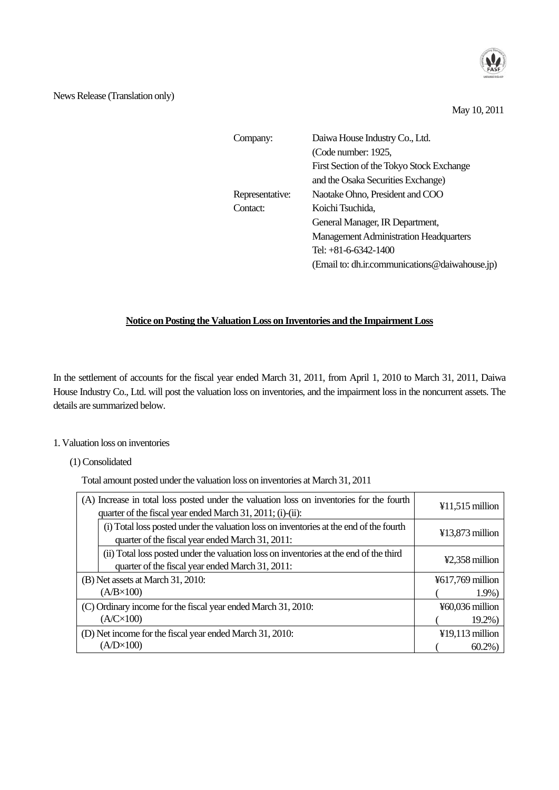

# News Release (Translation only)

May 10, 2011

| Company:        | Daiwa House Industry Co., Ltd.                 |
|-----------------|------------------------------------------------|
|                 | (Code number: 1925,                            |
|                 | First Section of the Tokyo Stock Exchange      |
|                 | and the Osaka Securities Exchange)             |
| Representative: | Naotake Ohno, President and COO                |
| Contact:        | Koichi Tsuchida,                               |
|                 | General Manager, IR Department,                |
|                 | <b>Management Administration Headquarters</b>  |
|                 | Tel: $+81-6-6342-1400$                         |
|                 | (Email to: dh.ir.communications@daiwahouse.jp) |
|                 |                                                |

# **Notice on Posting the Valuation Loss on Inventories and the Impairment Loss**

In the settlement of accounts for the fiscal year ended March 31, 2011, from April 1, 2010 to March 31, 2011, Daiwa House Industry Co., Ltd. will post the valuation loss on inventories, and the impairment loss in the noncurrent assets. The details are summarized below.

## 1. Valuation loss on inventories

# (1) Consolidated

Total amount posted under the valuation loss on inventories at March 31, 2011

| (A) Increase in total loss posted under the valuation loss on inventories for the fourth<br>quarter of the fiscal year ended March 31, 2011; (i)-(ii): | $¥11,515$ million            |
|--------------------------------------------------------------------------------------------------------------------------------------------------------|------------------------------|
| (i) Total loss posted under the valuation loss on inventories at the end of the fourth<br>quarter of the fiscal year ended March 31, 2011:             | $\text{\#}13,873$ million    |
| (ii) Total loss posted under the valuation loss on inventories at the end of the third<br>quarter of the fiscal year ended March 31, 2011:             | ¥2.358 million               |
| (B) Net assets at March 31, 2010:                                                                                                                      | $\frac{1}{2}617,769$ million |
| $(A/B \times 100)$                                                                                                                                     | $1.9\%$                      |
| (C) Ordinary income for the fiscal year ended March 31, 2010:                                                                                          | ¥60,036 million              |
| $(A/C \times 100)$                                                                                                                                     | $19.2\%$                     |
| (D) Net income for the fiscal year ended March 31, 2010:                                                                                               | $¥19,113$ million            |
| $(A/D \times 100)$                                                                                                                                     | $60.2\%$                     |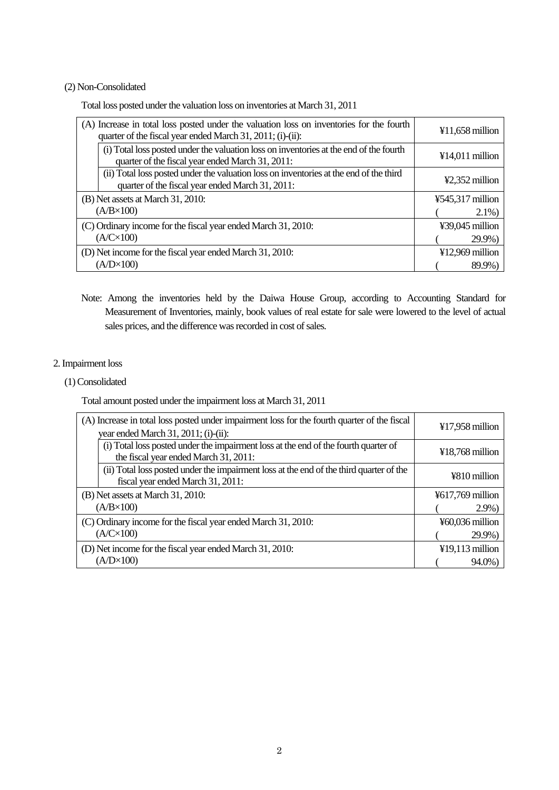## (2) Non-Consolidated

Total loss posted under the valuation loss on inventories at March 31, 2011

| (A) Increase in total loss posted under the valuation loss on inventories for the fourth<br>quarter of the fiscal year ended March 31, 2011; (i)-(ii): | $¥11,658$ million |
|--------------------------------------------------------------------------------------------------------------------------------------------------------|-------------------|
| (i) Total loss posted under the valuation loss on inventories at the end of the fourth<br>quarter of the fiscal year ended March 31, 2011:             | $¥14,011$ million |
| (ii) Total loss posted under the valuation loss on inventories at the end of the third<br>quarter of the fiscal year ended March 31, 2011:             | ¥2,352 million    |
| (B) Net assets at March 31, 2010:                                                                                                                      | ¥545,317 million  |
| $(A/B \times 100)$                                                                                                                                     | $2.1\%$           |
| (C) Ordinary income for the fiscal year ended March 31, 2010:                                                                                          | ¥39,045 million   |
| $(A/C\times100)$                                                                                                                                       | 29.9%)            |
| (D) Net income for the fiscal year ended March 31, 2010:                                                                                               | ¥12,969 million   |
| $(A/D \times 100)$                                                                                                                                     | 89.9%             |

Note: Among the inventories held by the Daiwa House Group, according to Accounting Standard for Measurement of Inventories, mainly, book values of real estate for sale were lowered to the level of actual sales prices, and the difference was recorded in cost of sales.

# 2. Impairment loss

#### (1) Consolidated

Total amount posted under the impairment loss at March 31, 2011

| (A) Increase in total loss posted under impairment loss for the fourth quarter of the fiscal<br>year ended March 31, 2011; (i)-(ii): | $¥17,958$ million |
|--------------------------------------------------------------------------------------------------------------------------------------|-------------------|
| (i) Total loss posted under the impairment loss at the end of the fourth quarter of<br>the fiscal year ended March 31, 2011:         | $¥18,768$ million |
| (ii) Total loss posted under the impairment loss at the end of the third quarter of the<br>fiscal year ended March 31, 2011:         | ¥810 million      |
| (B) Net assets at March 31, 2010:                                                                                                    | ¥617,769 million  |
| $(A/B \times 100)$                                                                                                                   | $2.9\%$           |
| (C) Ordinary income for the fiscal year ended March 31, 2010:                                                                        | $460,036$ million |
| $(A/C\times100)$                                                                                                                     | $29.9\%$          |
| (D) Net income for the fiscal year ended March 31, 2010:                                                                             | $¥19,113$ million |
| $(A/D \times 100)$                                                                                                                   | 94.0%             |